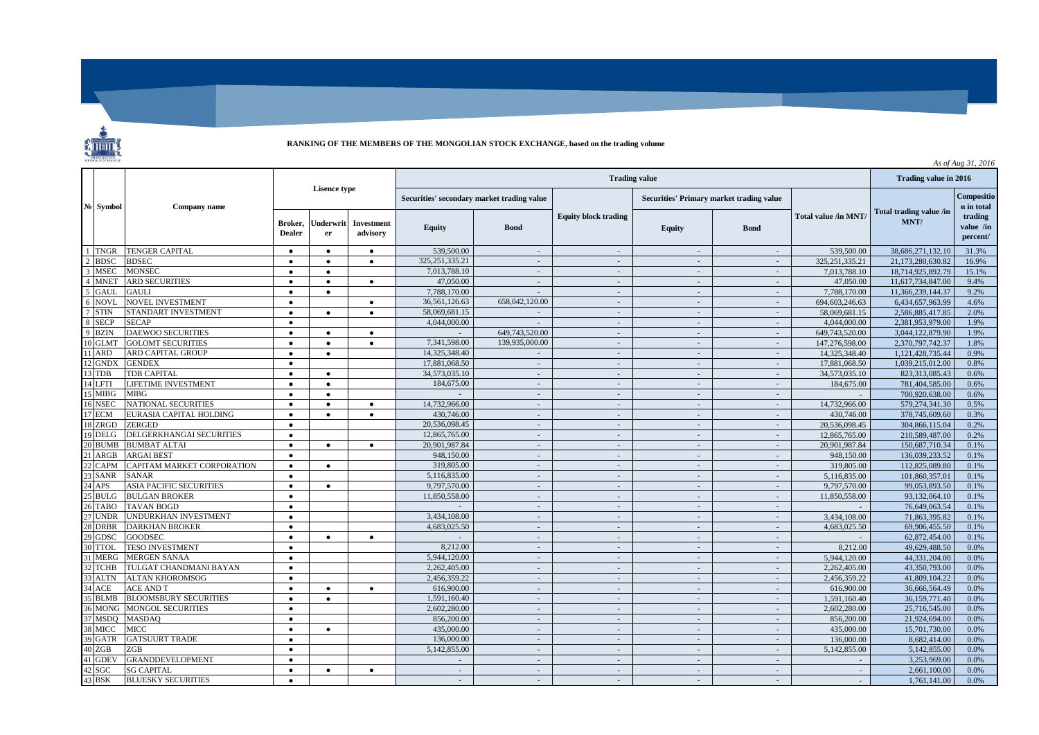

## **RANKING OF THE MEMBERS OF THE MONGOLIAN STOCK EXCHANGE, based on the trading volume**

| STOCK EXCHANGE<br>As of Aug 31, 2016 |                                |                          |                 |                        |                                            |                       |                             |                          |                                                 |                      |                                 |                                  |
|--------------------------------------|--------------------------------|--------------------------|-----------------|------------------------|--------------------------------------------|-----------------------|-----------------------------|--------------------------|-------------------------------------------------|----------------------|---------------------------------|----------------------------------|
| N <sub>2</sub> Symbol                | Company name                   | Lisence type             |                 |                        |                                            | Trading value in 2016 |                             |                          |                                                 |                      |                                 |                                  |
|                                      |                                |                          |                 |                        | Securities' secondary market trading value |                       |                             |                          | <b>Securities' Primary market trading value</b> |                      |                                 | Compositio<br>n in total         |
|                                      |                                | Broker,<br><b>Dealer</b> | Underwrit<br>er | Investment<br>advisory | <b>Equity</b>                              | <b>Bond</b>           | <b>Equity block trading</b> | <b>Equity</b>            | <b>Bond</b>                                     | Total value /in MNT/ | Total trading value /in<br>MNT/ | trading<br>value /in<br>percent/ |
| 1 TNGR                               | <b>TENGER CAPITAL</b>          | $\bullet$                | $\bullet$       | $\bullet$              | 539,500.00                                 |                       | $\sim$                      | $\sim$                   | $\overline{\phantom{a}}$                        | 539,500.00           | 38,686,271,132.10               | 31.3%                            |
| 2 BDSC                               | <b>BDSEC</b>                   | $\bullet$                | $\bullet$       | $\bullet$              | 325, 251, 335. 21                          | $\sim$                | $\sim$                      | $\sim$                   | $\sim$                                          | 325, 251, 335. 21    | 21.173.280.630.82               | 16.9%                            |
| <b>MSEC</b>                          | <b>MONSEC</b>                  | $\bullet$                | $\bullet$       |                        | 7,013,788.10                               | $\sim$                | $\sim$                      | $\sim$                   | $\sim$                                          | 7.013.788.10         | 18.714.925.892.79               | 15.1%                            |
| <b>MNET</b>                          | <b>ARD SECURITIES</b>          | $\bullet$                | $\bullet$       | $\bullet$              | 47,050,00                                  | $\sim$                | $\sim$                      | $\sim$                   | $\sim$                                          | 47,050,00            | 11.617.734.847.00               | 9.4%                             |
| 5<br><b>GAUL</b>                     | <b>GAULI</b>                   | $\bullet$                | $\bullet$       |                        | 7,788,170.00                               | $\sim$                | $\sim$                      | $\sim$                   | $\sim$                                          | 7,788,170.00         | 11,366,239,144.37               | 9.2%                             |
| <b>NOVL</b><br>6                     | NOVEL INVESTMENT               | $\bullet$                |                 | $\bullet$              | 36,561,126.63                              | 658,042,120.00        | $\sim$                      | $\sim$                   | $\sim$                                          | 694,603,246.63       | 6,434,657,963.99                | 4.6%                             |
| 7 STIN                               | STANDART INVESTMENT            | $\bullet$                | $\bullet$       | $\bullet$              | 58,069,681.15                              | $\sim$                | $\sim$                      | $\sim$                   | $\sim$                                          | 58,069,681.15        | 2,586,885,417.85                | 2.0%                             |
| $\overline{8}$<br><b>SECP</b>        | <b>SECAP</b>                   | $\bullet$                |                 |                        | 4,044,000.00                               | $\sim$                | $\sim$                      | $\sim$                   | $\sim$                                          | 4,044,000.00         | 2,381,953,979.00                | 1.9%                             |
| <b>BZIN</b>                          | <b>DAEWOO SECURITIES</b>       | $\bullet$                | $\bullet$       | $\bullet$              |                                            | 649,743,520.00        | $\sim$                      | $\sim$                   | $\sim$                                          | 649,743,520.00       | 3,044,122,879.90                | 1.9%                             |
| 10 GLMT                              | <b>GOLOMT SECURITIES</b>       | $\bullet$                | $\bullet$       | $\bullet$              | 7,341,598.00                               | 139,935,000.00        | $\sim$                      | $\sim$                   | $\sim$                                          | 147,276,598.00       | 2,370,797,742.37                | 1.8%                             |
| <b>ARD</b>                           | ARD CAPITAL GROUP              | $\bullet$                | $\bullet$       |                        | 14,325,348.40                              |                       | $\sim$                      | $\mathcal{L}$            | $\sim$                                          | 14,325,348.40        | 1,121,428,735.44                | 0.9%                             |
| 12 GNDX                              | <b>GENDEX</b>                  | $\bullet$                |                 |                        | 17,881,068.50                              | $\sim$                | $\sim$                      | $\sim$                   | $\sim$                                          | 17,881,068.50        | 1.039.215.012.00                | 0.8%                             |
| 13 TDB                               | <b>TDB CAPITAL</b>             | $\bullet$                | $\bullet$       |                        | 34,573,035.10                              | $\sim$                | $\sim$                      | $\sim$                   | $\sim$                                          | 34,573,035.10        | 823.313.085.43                  | 0.6%                             |
| 14 LFTI                              | <b>LIFETIME INVESTMENT</b>     | $\bullet$                | $\bullet$       |                        | 184,675.00                                 | $\sim$                | $\sim$                      | $\sim$                   | $\sim$                                          | 184,675.00           | 781,404,585,00                  | 0.6%                             |
| 15 MIBG                              | MIBG                           | $\bullet$                | $\bullet$       |                        |                                            | $\sim$                | $\sim$                      | $\sim$                   | $\sim$                                          |                      | 700,920,638.00                  | 0.6%                             |
| 16 NSEC                              | <b>NATIONAL SECURITIES</b>     | $\bullet$                | $\bullet$       | $\bullet$              | 14,732,966.00                              | $\sim$                | $\sim$                      | $\overline{\phantom{a}}$ | $\sim$                                          | 14,732,966.00        | 579,274,341.30                  | 0.5%                             |
| 17 ECM                               | EURASIA CAPITAL HOLDING        | $\bullet$                | $\bullet$       | $\bullet$              | 430,746.00                                 | $\sim$                | $\sim$                      | $\sim$                   | $\sim$                                          | 430,746.00           | 378,745,609.60                  | 0.3%                             |
| 18 ZRGD                              | ZERGED                         | $\bullet$                |                 |                        | 20,536,098.45                              | $\sim$                | $\sim$                      | $\sim$                   | $\sim$                                          | 20,536,098.45        | 304,866,115.04                  | 0.2%                             |
| 19 DELG                              | DELGERKHANGAI SECURITIES       | $\bullet$                |                 |                        | 12,865,765.00                              | $\sim$                | $\sim$                      | $\sim$                   | $\sim$                                          | 12,865,765.00        | 210,589,487.00                  | 0.2%                             |
| 20 BUMB                              | <b>BUMBAT ALTAI</b>            | $\bullet$                | $\bullet$       | $\bullet$              | 20.901.987.84                              | $\sim$                | $\sim$                      | $\overline{\phantom{a}}$ | $\sim$                                          | 20,901,987.84        | 150,687,710,34                  | 0.1%                             |
| <b>ARGB</b>                          | <b>ARGAI BEST</b>              | $\bullet$                |                 |                        | 948,150.00                                 | $\sim$                | $\sim$                      | $\overline{\phantom{a}}$ | $\sim$                                          | 948,150.00           | 136,039,233.52                  | 0.1%                             |
| <b>CAPM</b>                          | CAPITAM MARKET CORPORATION     | $\bullet$                | $\bullet$       |                        | 319,805.00                                 | $\sim$                | $\sim$                      | $\sim$                   | $\sim$                                          | 319,805.00           | 112,825,089.80                  | 0.1%                             |
| 23 SANR                              | SANAR                          | $\bullet$                |                 |                        | 5,116,835.00                               | $\sim$                | $\sim$                      | $\sim$                   | $\sim$                                          | 5,116,835.00         | 101,860,357.01                  | 0.1%                             |
| APS                                  | <b>ASIA PACIFIC SECURITIES</b> | $\bullet$                | $\bullet$       |                        | 9,797,570.00                               | $\sim$                | $\sim$                      | $\sim$                   | $\sim$                                          | 9,797,570.00         | 99.053.893.50                   | 0.1%                             |
| 25 BULG                              | <b>BULGAN BROKER</b>           | $\bullet$                |                 |                        | 11,850,558.00                              | $\sim$                | $\sim$                      | $\sim$                   | $\sim$                                          | 11,850,558.00        | 93,132,064.10                   | 0.1%                             |
| 26 TABO                              | <b>TAVAN BOGD</b>              | $\bullet$                |                 |                        | $\mathbf{r}$                               | $\sim$                | $\sim$                      | $\sim$                   | $\sim$                                          |                      | 76,649,063.54                   | 0.1%                             |
| 27 UNDR                              | UNDURKHAN INVESTMENT           | $\bullet$                |                 |                        | 3,434,108.00                               | $\sim$                | $\sim$                      | $\sim$                   | $\sim$                                          | 3,434,108.00         | 71,863,395.82                   | 0.1%                             |
| 28 DRBR                              | <b>DARKHAN BROKER</b>          | $\bullet$                |                 |                        | 4,683,025.50                               | $\sim$                | $\sim$                      | $\sim$                   | $\sim$                                          | 4,683,025.50         | 69,906,455.50                   | 0.1%                             |
| 29 GDSC                              | GOODSEC                        | $\bullet$                | $\bullet$       | $\bullet$              |                                            | $\sim$                | $\sim$                      | $\sim$                   | $\sim$                                          |                      | 62,872,454.00                   | 0.1%                             |
| <b>TTOL</b>                          | <b>TESO INVESTMENT</b>         | $\bullet$                |                 |                        | 8,212.00                                   | $\sim$                | $\sim$                      | $\sim$                   | $\sim$                                          | 8,212.00             | 49,629,488.50                   | 0.0%                             |
| 31 MERG                              | <b>MERGEN SANAA</b>            | $\bullet$                |                 |                        | 5.944,120.00                               | $\sim$                | $\sim$                      | $\sim$                   | $\sim$                                          | 5.944,120.00         | 44,331,204.00                   | 0.0%                             |
| <b>TCHB</b>                          | TULGAT CHANDMANI BAYAN         | $\bullet$                |                 |                        | 2.262,405.00                               | $\sim$                | $\sim$                      | $\sim$                   | $\sim$                                          | 2.262,405.00         | 43,350,793.00                   | 0.0%                             |
| <b>ALTN</b><br>33                    | <b>ALTAN KHOROMSOG</b>         | $\bullet$                |                 |                        | 2,456,359.22                               | $\sim$                | n.                          | $\sim$                   | $\sim$                                          | 2.456.359.22         | 41,809,104.22                   | 0.0%                             |
| 34 ACE                               | ACE AND T                      | $\bullet$                | $\bullet$       | $\bullet$              | 616,900.00                                 | $\sim$                | $\sim$                      | $\sim$                   | $\sim$                                          | 616,900.00           | 36,666,564.49                   | 0.0%                             |
| 35 BLMB                              | <b>BLOOMSBURY SECURITIES</b>   | $\bullet$                | $\bullet$       |                        | 1,591,160.40                               | $\sim$                | $\sim$                      | $\sim$                   | $\sim$                                          | 1,591,160.40         | 36,159,771.40                   | 0.0%                             |
| 36 MONG                              | <b>MONGOL SECURITIES</b>       | $\bullet$                |                 |                        | 2,602,280.00                               | $\sim$                | $\sim$                      | $\sim$                   | $\sim$                                          | 2,602,280.00         | 25,716,545.00                   | 0.0%                             |
| 37 MSDO                              | <b>MASDAO</b>                  | $\bullet$                |                 |                        | 856,200,00                                 | $\sim$                | $\sim$                      | $\sim$                   | $\sim$                                          | 856,200.00           | 21,924,694.00                   | 0.0%                             |
| 38 MICC                              | MICC                           | $\bullet$                | $\bullet$       |                        | 435,000.00                                 | $\sim$                | $\sim$                      | $\sim$                   | $\sim$                                          | 435,000.00           | 15,701,730.00                   | 0.0%                             |
| 39 GATR                              | <b>GATSUURT TRADE</b>          | $\bullet$                |                 |                        | 136,000.00                                 | $\sim$                | $\sim$                      | $\sim$                   | $\sim$                                          | 136,000.00           | 8,682,414.00                    | 0.0%                             |
| 40 ZGB<br>41 GDEV                    | ZGB                            | $\bullet$                |                 |                        | 5,142,855.00                               | $\sim$                | $\sim$                      | $\sim$                   | $\sim$                                          | 5,142,855.00         | 5,142,855.00                    | 0.0%                             |
|                                      | <b>GRANDDEVELOPMENT</b>        | $\bullet$                |                 |                        |                                            | $\sim$                | $\sim$                      | $\sim$                   | $\sim$                                          |                      | 3,253,969.00                    | 0.0%                             |
| 42 SGC<br>43 BSK                     | <b>SG CAPITAL</b>              | $\bullet$                | $\bullet$       | $\bullet$              | $\mathcal{L}$                              | $\sim$                | $\sim$                      | $\mathcal{L}$            | $\sim$                                          |                      | 2,661,100.00                    | 0.0%                             |
|                                      | <b>BLUESKY SECURITIES</b>      | $\bullet$                |                 |                        | $\sim$                                     | $\sim$                | $\sim$                      | $\sim$                   | $\sim$                                          |                      | 1,761,141.00                    | 0.0%                             |